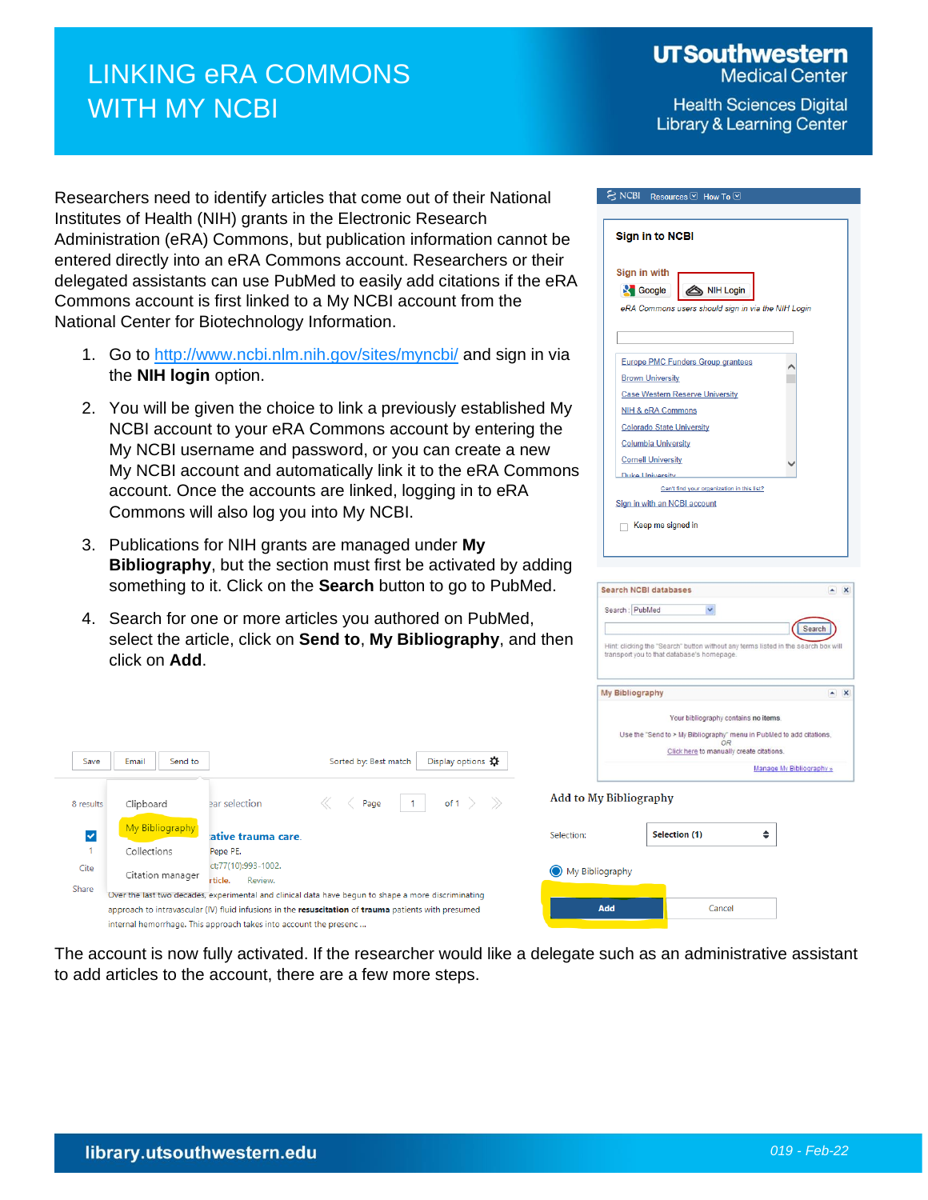## LINKING eRA COMMONS WITH MY NCBI

**UTSouthwestern** 

**Medical Center** 

**Health Sciences Digital Library & Learning Center** 

Researchers need to identify articles that come out of their National Institutes of Health (NIH) grants in the Electronic Research Administration (eRA) Commons, but publication information cannot be entered directly into an eRA Commons account. Researchers or their delegated assistants can use PubMed to easily add citations if the eRA Commons account is first linked to a My NCBI account from the National Center for Biotechnology Information.

- 1. Go to<http://www.ncbi.nlm.nih.gov/sites/myncbi/> and sign in via the **NIH login** option.
- 2. You will be given the choice to link a previously established My NCBI account to your eRA Commons account by entering the My NCBI username and password, or you can create a new My NCBI account and automatically link it to the eRA Commons account. Once the accounts are linked, logging in to eRA Commons will also log you into My NCBI.
- 3. Publications for NIH grants are managed under **My Bibliography**, but the section must first be activated by adding something to it. Click on the **Search** button to go to PubMed.
- 4. Search for one or more articles you authored on PubMed, select the article, click on **Send to**, **My Bibliography**, and then click on **Add**.



Can't find your organization in this list?

Sign in with an NCBI account  $\Box$  Keep me signed in

S NCBI Resources ⊙ How To ⊙

| <b>Search NCBI databases</b>                                                       | $\boldsymbol{\mathsf{x}}$ |
|------------------------------------------------------------------------------------|---------------------------|
| Search: PubMed<br>Ÿ.                                                               |                           |
|                                                                                    | Search                    |
| Hint: clicking the "Search" button without any terms listed in the search box will |                           |
| transport you to that database's homepage.                                         |                           |
|                                                                                    | ×                         |
| My Bibliography<br>Your bibliography contains no items.                            |                           |
| Use the "Send to > My Bibliography" menu in PubMed to add citations.               |                           |
| OR<br>Click here to manually create citations.                                     |                           |

| Save      | Email<br>Send to                                                                                    |                                                                   | Sorted by: Best match                                                                                | Display options <b>Q</b> |                        | Use the "Send to > My Bibliography" menu in PubMed to add cita<br>OR<br>Click here to manually create citations. | Manage My Bibliogra |  |
|-----------|-----------------------------------------------------------------------------------------------------|-------------------------------------------------------------------|------------------------------------------------------------------------------------------------------|--------------------------|------------------------|------------------------------------------------------------------------------------------------------------------|---------------------|--|
| 8 results | Clipboard                                                                                           | ear selection                                                     | Page                                                                                                 | of 1<br>> >>             | Add to My Bibliography |                                                                                                                  |                     |  |
| V         | My Bibliography                                                                                     | ative trauma care.                                                |                                                                                                      |                          | Selection:             | Selection (1)                                                                                                    | ٠                   |  |
|           | Collections                                                                                         | Pepe PE.                                                          |                                                                                                      |                          |                        |                                                                                                                  |                     |  |
| Cite      | Citation manager                                                                                    | ct:77(10):993-1002.<br>Review.<br>rticle.                         |                                                                                                      |                          | My Bibliography        |                                                                                                                  |                     |  |
| Share     | Over the last two decades, experimental and clinical data have begun to shape a more discriminating |                                                                   |                                                                                                      |                          |                        |                                                                                                                  |                     |  |
|           |                                                                                                     | internal hemorrhage. This approach takes into account the presenc | approach to intravascular (IV) fluid infusions in the resuscitation of trauma patients with presumed |                          | Add                    | Cancel                                                                                                           |                     |  |
|           |                                                                                                     |                                                                   |                                                                                                      |                          |                        |                                                                                                                  |                     |  |

The account is now fully activated. If the researcher would like a delegate such as an administrative assistant to add articles to the account, there are a few more steps.